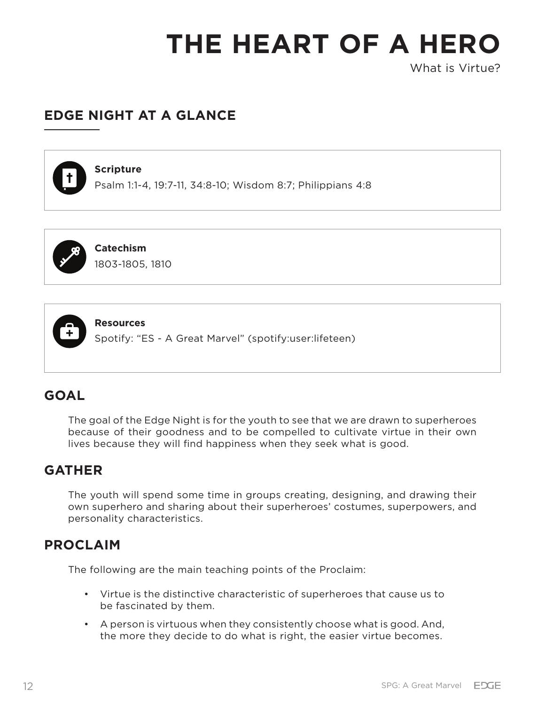What is Virtue?

## **EDGE NIGHT AT A GLANCE**



#### **Scripture**

Psalm 1:1-4, 19:7-11, 34:8-10; Wisdom 8:7; Philippians 4:8



## **Catechism**

1803-1805, 1810



#### **Resources**

Spotify: "ES - A Great Marvel" (spotify:user:lifeteen)

## **GOAL**

The goal of the Edge Night is for the youth to see that we are drawn to superheroes because of their goodness and to be compelled to cultivate virtue in their own lives because they will find happiness when they seek what is good.

## **GATHER**

The youth will spend some time in groups creating, designing, and drawing their own superhero and sharing about their superheroes' costumes, superpowers, and personality characteristics.

## **PROCLAIM**

The following are the main teaching points of the Proclaim:

- Virtue is the distinctive characteristic of superheroes that cause us to be fascinated by them.
- A person is virtuous when they consistently choose what is good. And, the more they decide to do what is right, the easier virtue becomes.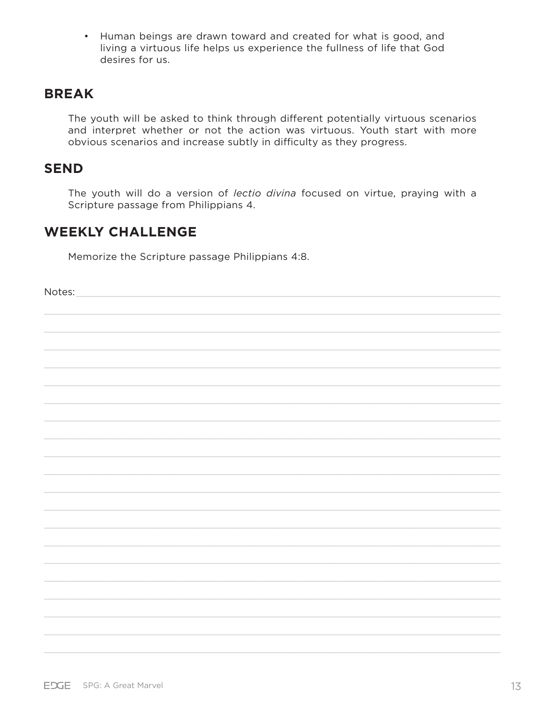• Human beings are drawn toward and created for what is good, and living a virtuous life helps us experience the fullness of life that God desires for us.

## **BREAK**

The youth will be asked to think through different potentially virtuous scenarios and interpret whether or not the action was virtuous. Youth start with more obvious scenarios and increase subtly in difficulty as they progress.

## **SEND**

The youth will do a version of lectio divina focused on virtue, praying with a Scripture passage from Philippians 4.

## **WEEKLY CHALLENGE**

Memorize the Scripture passage Philippians 4:8.

Notes: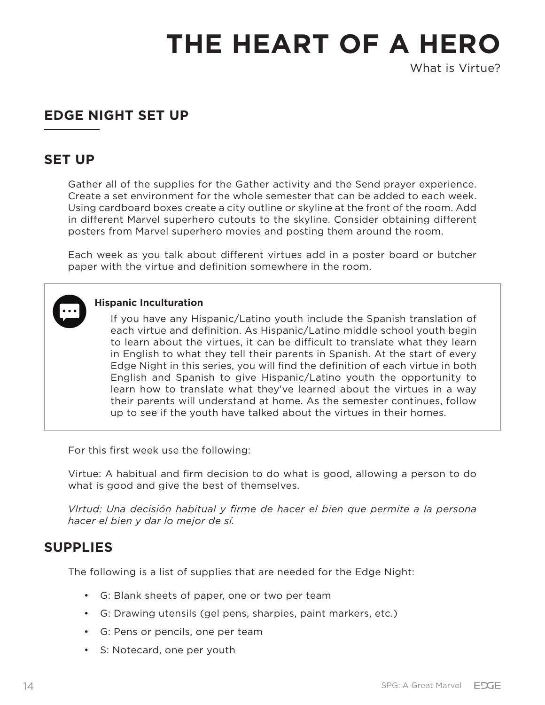What is Virtue?

## **EDGE NIGHT SET UP**

## **SET UP**

Gather all of the supplies for the Gather activity and the Send prayer experience. Create a set environment for the whole semester that can be added to each week. Using cardboard boxes create a city outline or skyline at the front of the room. Add in different Marvel superhero cutouts to the skyline. Consider obtaining different posters from Marvel superhero movies and posting them around the room.

Each week as you talk about different virtues add in a poster board or butcher paper with the virtue and definition somewhere in the room.



#### **Hispanic Inculturation**

If you have any Hispanic/Latino youth include the Spanish translation of each virtue and definition. As Hispanic/Latino middle school youth begin to learn about the virtues, it can be difficult to translate what they learn in English to what they tell their parents in Spanish. At the start of every Edge Night in this series, you will find the definition of each virtue in both English and Spanish to give Hispanic/Latino youth the opportunity to learn how to translate what they've learned about the virtues in a way their parents will understand at home. As the semester continues, follow up to see if the youth have talked about the virtues in their homes.

For this first week use the following:

Virtue: A habitual and firm decision to do what is good, allowing a person to do what is good and give the best of themselves.

*VIrtud: Una decisión habitual y firme de hacer el bien que permite a la persona hacer el bien y dar lo mejor de sí.*

## **SUPPLIES**

The following is a list of supplies that are needed for the Edge Night:

- G: Blank sheets of paper, one or two per team
- G: Drawing utensils (gel pens, sharpies, paint markers, etc.)
- G: Pens or pencils, one per team
- S: Notecard, one per youth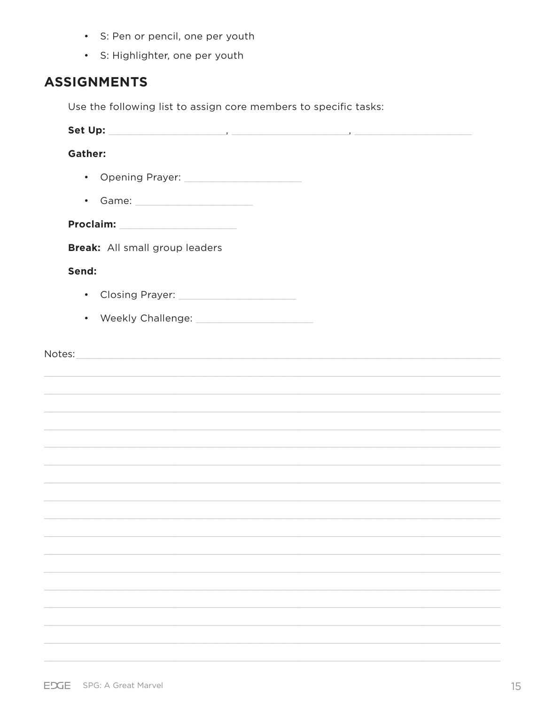- · S: Pen or pencil, one per youth
- · S: Highlighter, one per youth

## **ASSIGNMENTS**

Use the following list to assign core members to specific tasks:

| <b>Gather:</b> |                                                                                                                                                                                                                                |
|----------------|--------------------------------------------------------------------------------------------------------------------------------------------------------------------------------------------------------------------------------|
|                |                                                                                                                                                                                                                                |
|                | • Game: 1999 - Game: 1999 - Game: 1999 - 1999 - 1999 - 1999 - 1999 - 1999 - 1999 - 1999 - 1999 - 1999 - 1999 - 1999 - 1999 - 1999 - 1999 - 1999 - 1999 - 1999 - 1999 - 1999 - 1999 - 1999 - 1999 - 1999 - 1999 - 1999 - 1999 - |
|                |                                                                                                                                                                                                                                |
|                | Break: All small group leaders                                                                                                                                                                                                 |
| Send:          |                                                                                                                                                                                                                                |
|                |                                                                                                                                                                                                                                |
|                |                                                                                                                                                                                                                                |
|                |                                                                                                                                                                                                                                |
|                |                                                                                                                                                                                                                                |
|                |                                                                                                                                                                                                                                |
|                |                                                                                                                                                                                                                                |
|                |                                                                                                                                                                                                                                |
|                |                                                                                                                                                                                                                                |
|                |                                                                                                                                                                                                                                |
|                |                                                                                                                                                                                                                                |
|                |                                                                                                                                                                                                                                |
|                |                                                                                                                                                                                                                                |
|                |                                                                                                                                                                                                                                |
|                |                                                                                                                                                                                                                                |
|                |                                                                                                                                                                                                                                |
|                |                                                                                                                                                                                                                                |
|                |                                                                                                                                                                                                                                |
|                |                                                                                                                                                                                                                                |
|                |                                                                                                                                                                                                                                |
|                |                                                                                                                                                                                                                                |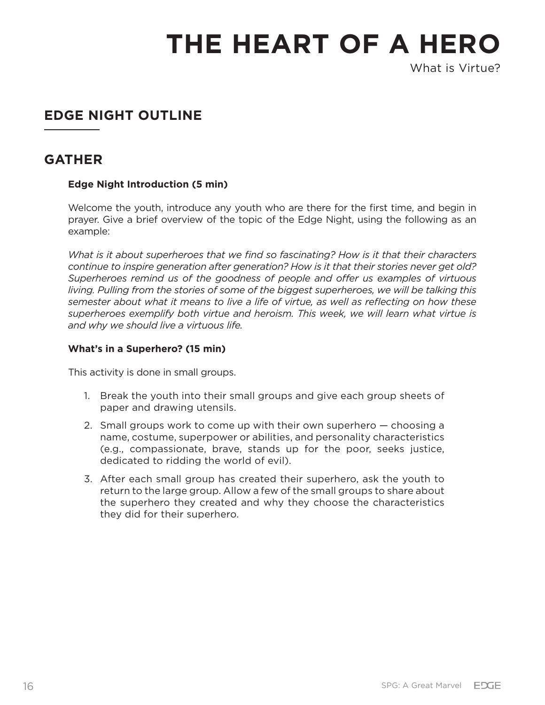What is Virtue?

# **EDGE NIGHT OUTLINE**

## **GATHER**

### **Edge Night Introduction (5 min)**

Welcome the youth, introduce any youth who are there for the first time, and begin in prayer. Give a brief overview of the topic of the Edge Night, using the following as an example:

*What is it about superheroes that we find so fascinating? How is it that their characters continue to inspire generation after generation? How is it that their stories never get old? Superheroes remind us of the goodness of people and offer us examples of virtuous living. Pulling from the stories of some of the biggest superheroes, we will be talking this semester about what it means to live a life of virtue, as well as reflecting on how these superheroes exemplify both virtue and heroism. This week, we will learn what virtue is and why we should live a virtuous life.*

#### **What's in a Superhero? (15 min)**

This activity is done in small groups.

- 1. Break the youth into their small groups and give each group sheets of paper and drawing utensils.
- 2. Small groups work to come up with their own superhero choosing a name, costume, superpower or abilities, and personality characteristics (e.g., compassionate, brave, stands up for the poor, seeks justice, dedicated to ridding the world of evil).
- 3. After each small group has created their superhero, ask the youth to return to the large group. Allow a few of the small groups to share about the superhero they created and why they choose the characteristics they did for their superhero.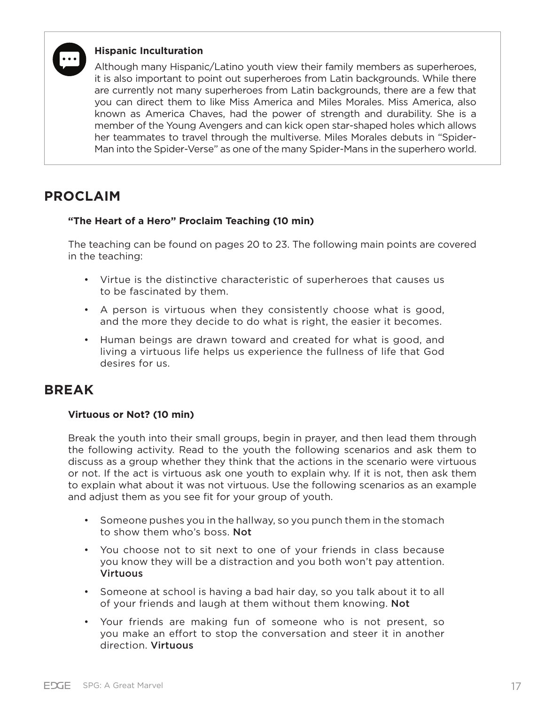

#### **Hispanic Inculturation**

Although many Hispanic/Latino youth view their family members as superheroes, it is also important to point out superheroes from Latin backgrounds. While there are currently not many superheroes from Latin backgrounds, there are a few that you can direct them to like Miss America and Miles Morales. Miss America, also known as America Chaves, had the power of strength and durability. She is a member of the Young Avengers and can kick open star-shaped holes which allows her teammates to travel through the multiverse. Miles Morales debuts in "Spider-Man into the Spider-Verse" as one of the many Spider-Mans in the superhero world.

## **PROCLAIM**

#### **"The Heart of a Hero" Proclaim Teaching (10 min)**

The teaching can be found on pages 20 to 23. The following main points are covered in the teaching:

- Virtue is the distinctive characteristic of superheroes that causes us to be fascinated by them.
- A person is virtuous when they consistently choose what is good, and the more they decide to do what is right, the easier it becomes.
- Human beings are drawn toward and created for what is good, and living a virtuous life helps us experience the fullness of life that God desires for us.

## **BREAK**

#### **Virtuous or Not? (10 min)**

Break the youth into their small groups, begin in prayer, and then lead them through the following activity. Read to the youth the following scenarios and ask them to discuss as a group whether they think that the actions in the scenario were virtuous or not. If the act is virtuous ask one youth to explain why. If it is not, then ask them to explain what about it was not virtuous. Use the following scenarios as an example and adjust them as you see fit for your group of youth.

- Someone pushes you in the hallway, so you punch them in the stomach to show them who's boss. Not
- You choose not to sit next to one of your friends in class because you know they will be a distraction and you both won't pay attention. Virtuous
- Someone at school is having a bad hair day, so you talk about it to all of your friends and laugh at them without them knowing. Not
- Your friends are making fun of someone who is not present, so you make an effort to stop the conversation and steer it in another direction. Virtuous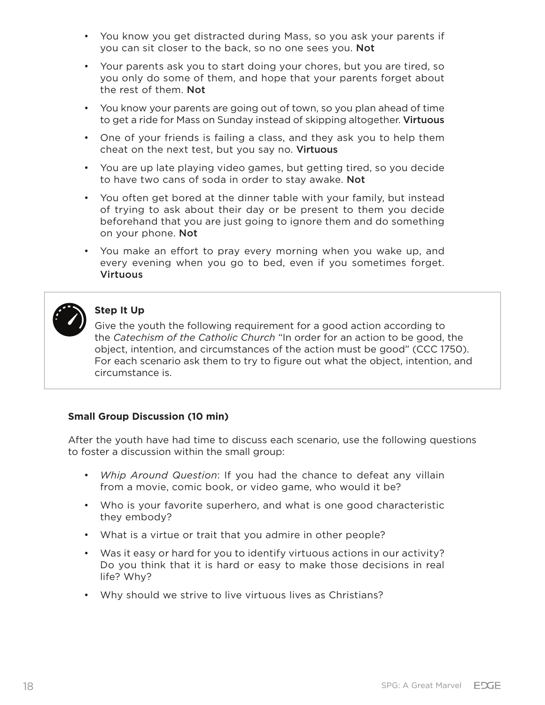- You know you get distracted during Mass, so you ask your parents if you can sit closer to the back, so no one sees you. Not
- Your parents ask you to start doing your chores, but you are tired, so you only do some of them, and hope that your parents forget about the rest of them. Not
- You know your parents are going out of town, so you plan ahead of time to get a ride for Mass on Sunday instead of skipping altogether. Virtuous
- One of your friends is failing a class, and they ask you to help them cheat on the next test, but you say no. Virtuous
- You are up late playing video games, but getting tired, so you decide to have two cans of soda in order to stay awake. Not
- You often get bored at the dinner table with your family, but instead of trying to ask about their day or be present to them you decide beforehand that you are just going to ignore them and do something on your phone. Not
- You make an effort to pray every morning when you wake up, and every evening when you go to bed, even if you sometimes forget. Virtuous



### **Step It Up**

Give the youth the following requirement for a good action according to the *Catechism of the Catholic Church* "In order for an action to be good, the object, intention, and circumstances of the action must be good" (CCC 1750). For each scenario ask them to try to figure out what the object, intention, and circumstance is.

### **Small Group Discussion (10 min)**

After the youth have had time to discuss each scenario, use the following questions to foster a discussion within the small group:

- *Whip Around Question*: If you had the chance to defeat any villain from a movie, comic book, or video game, who would it be?
- Who is your favorite superhero, and what is one good characteristic they embody?
- What is a virtue or trait that you admire in other people?
- Was it easy or hard for you to identify virtuous actions in our activity? Do you think that it is hard or easy to make those decisions in real life? Why?
- Why should we strive to live virtuous lives as Christians?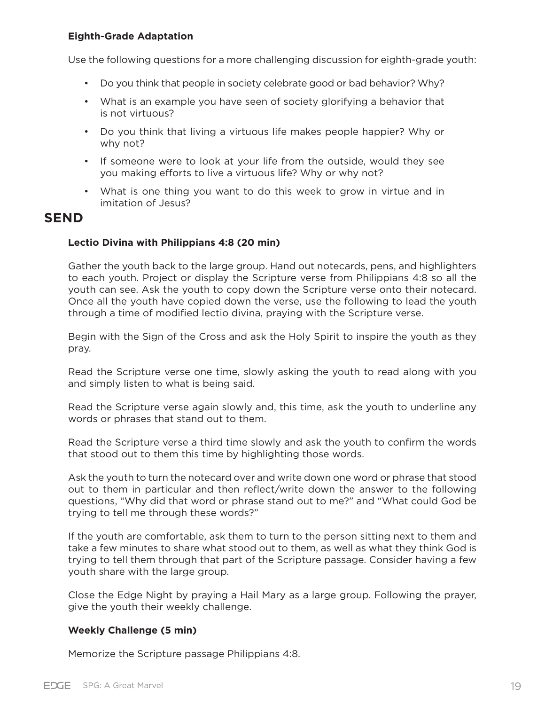#### **Eighth-Grade Adaptation**

Use the following questions for a more challenging discussion for eighth-grade youth:

- Do you think that people in society celebrate good or bad behavior? Why?
- What is an example you have seen of society glorifying a behavior that is not virtuous?
- Do you think that living a virtuous life makes people happier? Why or why not?
- If someone were to look at your life from the outside, would they see you making efforts to live a virtuous life? Why or why not?
- What is one thing you want to do this week to grow in virtue and in imitation of Jesus?

## **SEND**

#### **Lectio Divina with Philippians 4:8 (20 min)**

Gather the youth back to the large group. Hand out notecards, pens, and highlighters to each youth. Project or display the Scripture verse from Philippians 4:8 so all the youth can see. Ask the youth to copy down the Scripture verse onto their notecard. Once all the youth have copied down the verse, use the following to lead the youth through a time of modified lectio divina, praying with the Scripture verse.

Begin with the Sign of the Cross and ask the Holy Spirit to inspire the youth as they pray.

Read the Scripture verse one time, slowly asking the youth to read along with you and simply listen to what is being said.

Read the Scripture verse again slowly and, this time, ask the youth to underline any words or phrases that stand out to them.

Read the Scripture verse a third time slowly and ask the youth to confirm the words that stood out to them this time by highlighting those words.

Ask the youth to turn the notecard over and write down one word or phrase that stood out to them in particular and then reflect/write down the answer to the following questions, "Why did that word or phrase stand out to me?" and "What could God be trying to tell me through these words?"

If the youth are comfortable, ask them to turn to the person sitting next to them and take a few minutes to share what stood out to them, as well as what they think God is trying to tell them through that part of the Scripture passage. Consider having a few youth share with the large group.

Close the Edge Night by praying a Hail Mary as a large group. Following the prayer, give the youth their weekly challenge.

#### **Weekly Challenge (5 min)**

Memorize the Scripture passage Philippians 4:8.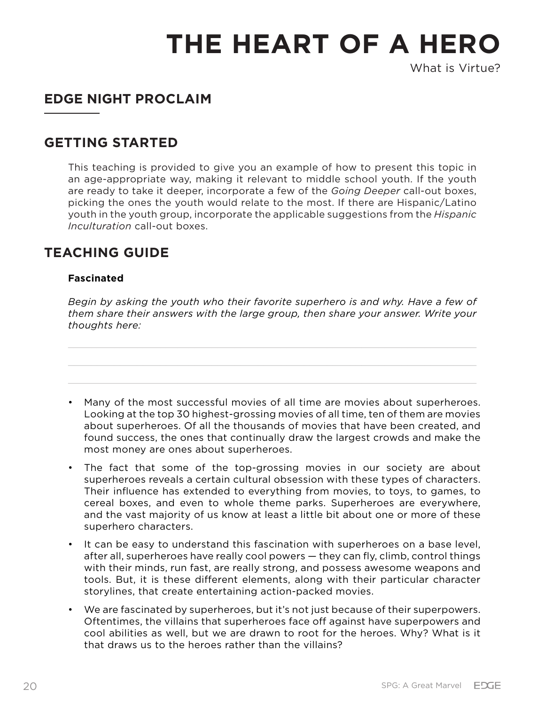What is Virtue?

## **EDGE NIGHT PROCLAIM**

## **GETTING STARTED**

This teaching is provided to give you an example of how to present this topic in an age-appropriate way, making it relevant to middle school youth. If the youth are ready to take it deeper, incorporate a few of the *Going Deeper* call-out boxes, picking the ones the youth would relate to the most. If there are Hispanic/Latino youth in the youth group, incorporate the applicable suggestions from the *Hispanic Inculturation* call-out boxes.

## **TEACHING GUIDE**

### **Fascinated**

*Begin by asking the youth who their favorite superhero is and why. Have a few of them share their answers with the large group, then share your answer. Write your thoughts here:*

- Many of the most successful movies of all time are movies about superheroes. Looking at the top 30 highest-grossing movies of all time, ten of them are movies about superheroes. Of all the thousands of movies that have been created, and found success, the ones that continually draw the largest crowds and make the most money are ones about superheroes.
- The fact that some of the top-grossing movies in our society are about superheroes reveals a certain cultural obsession with these types of characters. Their influence has extended to everything from movies, to toys, to games, to cereal boxes, and even to whole theme parks. Superheroes are everywhere, and the vast majority of us know at least a little bit about one or more of these superhero characters.
- It can be easy to understand this fascination with superheroes on a base level, after all, superheroes have really cool powers — they can fly, climb, control things with their minds, run fast, are really strong, and possess awesome weapons and tools. But, it is these different elements, along with their particular character storylines, that create entertaining action-packed movies.
- We are fascinated by superheroes, but it's not just because of their superpowers. Oftentimes, the villains that superheroes face off against have superpowers and cool abilities as well, but we are drawn to root for the heroes. Why? What is it that draws us to the heroes rather than the villains?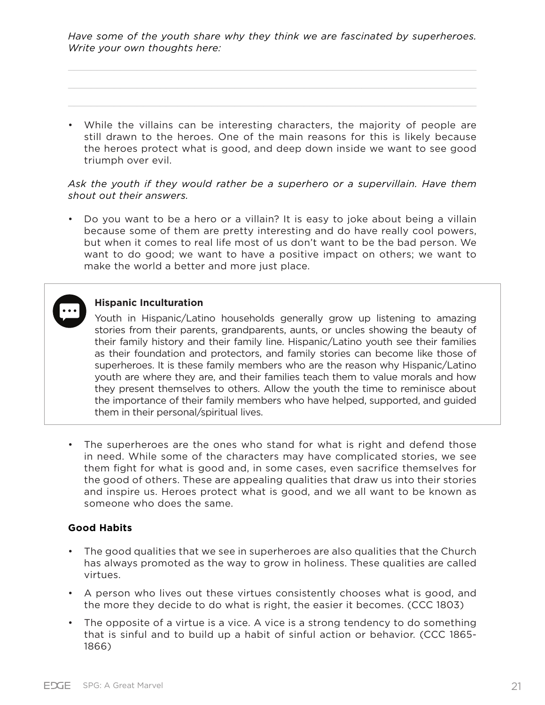*Have some of the youth share why they think we are fascinated by superheroes. Write your own thoughts here:*

• While the villains can be interesting characters, the majority of people are still drawn to the heroes. One of the main reasons for this is likely because the heroes protect what is good, and deep down inside we want to see good triumph over evil.

#### *Ask the youth if they would rather be a superhero or a supervillain. Have them shout out their answers.*

• Do you want to be a hero or a villain? It is easy to joke about being a villain because some of them are pretty interesting and do have really cool powers, but when it comes to real life most of us don't want to be the bad person. We want to do good; we want to have a positive impact on others; we want to make the world a better and more just place.

### **Hispanic Inculturation**

Youth in Hispanic/Latino households generally grow up listening to amazing stories from their parents, grandparents, aunts, or uncles showing the beauty of their family history and their family line. Hispanic/Latino youth see their families as their foundation and protectors, and family stories can become like those of superheroes. It is these family members who are the reason why Hispanic/Latino youth are where they are, and their families teach them to value morals and how they present themselves to others. Allow the youth the time to reminisce about the importance of their family members who have helped, supported, and guided them in their personal/spiritual lives.

• The superheroes are the ones who stand for what is right and defend those in need. While some of the characters may have complicated stories, we see them fight for what is good and, in some cases, even sacrifice themselves for the good of others. These are appealing qualities that draw us into their stories and inspire us. Heroes protect what is good, and we all want to be known as someone who does the same.

#### **Good Habits**

- The good qualities that we see in superheroes are also qualities that the Church has always promoted as the way to grow in holiness. These qualities are called virtues.
- A person who lives out these virtues consistently chooses what is good, and the more they decide to do what is right, the easier it becomes. (CCC 1803)
- The opposite of a virtue is a vice. A vice is a strong tendency to do something that is sinful and to build up a habit of sinful action or behavior. (CCC 1865- 1866)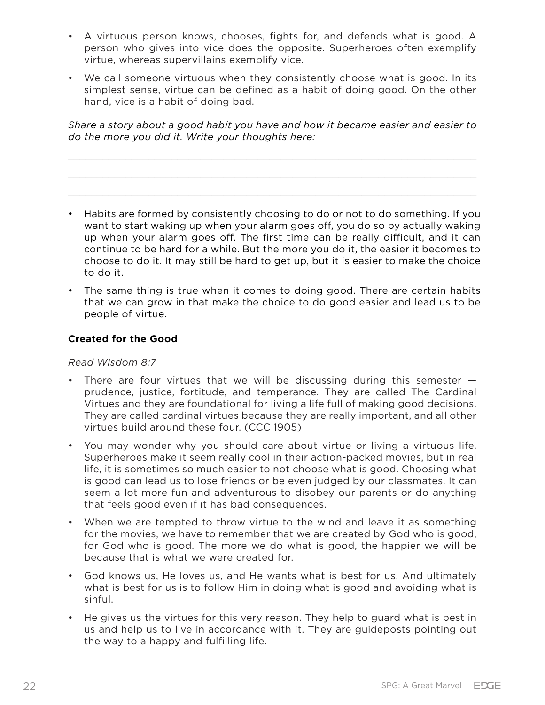- A virtuous person knows, chooses, fights for, and defends what is good. A person who gives into vice does the opposite. Superheroes often exemplify virtue, whereas supervillains exemplify vice.
- We call someone virtuous when they consistently choose what is good. In its simplest sense, virtue can be defined as a habit of doing good. On the other hand, vice is a habit of doing bad.

*Share a story about a good habit you have and how it became easier and easier to do the more you did it. Write your thoughts here:*

- Habits are formed by consistently choosing to do or not to do something. If you want to start waking up when your alarm goes off, you do so by actually waking up when your alarm goes off. The first time can be really difficult, and it can continue to be hard for a while. But the more you do it, the easier it becomes to choose to do it. It may still be hard to get up, but it is easier to make the choice to do it.
- The same thing is true when it comes to doing good. There are certain habits that we can grow in that make the choice to do good easier and lead us to be people of virtue.

#### **Created for the Good**

*Read Wisdom 8:7*

- There are four virtues that we will be discussing during this semester prudence, justice, fortitude, and temperance. They are called The Cardinal Virtues and they are foundational for living a life full of making good decisions. They are called cardinal virtues because they are really important, and all other virtues build around these four. (CCC 1905)
- You may wonder why you should care about virtue or living a virtuous life. Superheroes make it seem really cool in their action-packed movies, but in real life, it is sometimes so much easier to not choose what is good. Choosing what is good can lead us to lose friends or be even judged by our classmates. It can seem a lot more fun and adventurous to disobey our parents or do anything that feels good even if it has bad consequences.
- When we are tempted to throw virtue to the wind and leave it as something for the movies, we have to remember that we are created by God who is good, for God who is good. The more we do what is good, the happier we will be because that is what we were created for.
- God knows us, He loves us, and He wants what is best for us. And ultimately what is best for us is to follow Him in doing what is good and avoiding what is sinful.
- He gives us the virtues for this very reason. They help to guard what is best in us and help us to live in accordance with it. They are guideposts pointing out the way to a happy and fulfilling life.